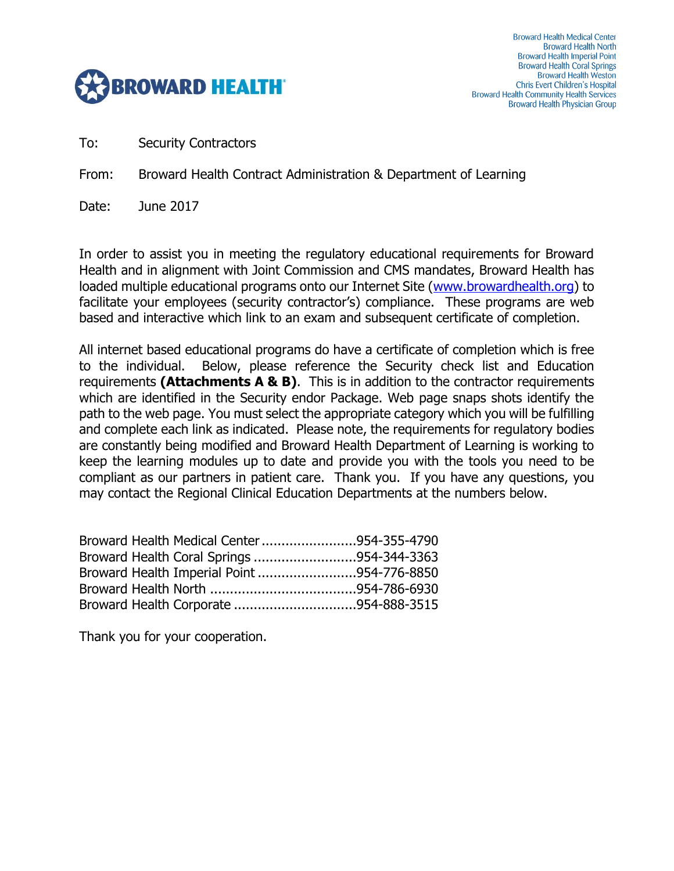

To: Security Contractors

From: Broward Health Contract Administration & Department of Learning

Date: June 2017

In order to assist you in meeting the regulatory educational requirements for Broward Health and in alignment with Joint Commission and CMS mandates, Broward Health has loaded multiple educational programs onto our Internet Site [\(www.browardhealth.org\)](http://www.browardhealth.org/) to facilitate your employees (security contractor's) compliance. These programs are web based and interactive which link to an exam and subsequent certificate of completion.

All internet based educational programs do have a certificate of completion which is free to the individual. Below, please reference the Security check list and Education requirements **(Attachments A & B)**. This is in addition to the contractor requirements which are identified in the Security endor Package. Web page snaps shots identify the path to the web page. You must select the appropriate category which you will be fulfilling and complete each link as indicated. Please note, the requirements for regulatory bodies are constantly being modified and Broward Health Department of Learning is working to keep the learning modules up to date and provide you with the tools you need to be compliant as our partners in patient care. Thank you. If you have any questions, you may contact the Regional Clinical Education Departments at the numbers below.

| Broward Health Medical Center 954-355-4790 |  |
|--------------------------------------------|--|
| Broward Health Coral Springs 954-344-3363  |  |
| Broward Health Imperial Point 954-776-8850 |  |
|                                            |  |
|                                            |  |

Thank you for your cooperation.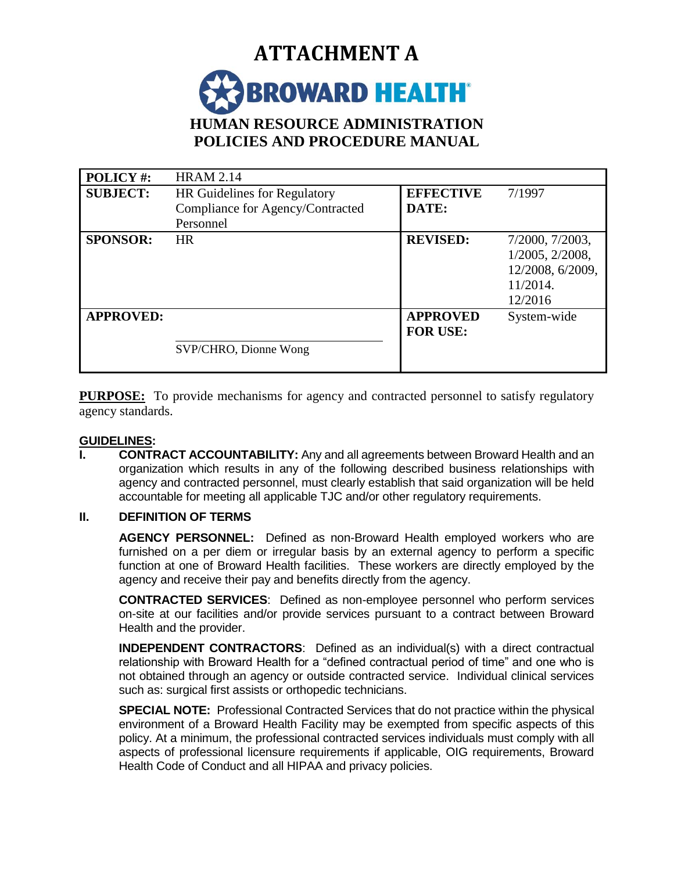

| POLICY#:         | <b>HRAM 2.14</b>                    |                  |                  |
|------------------|-------------------------------------|------------------|------------------|
| <b>SUBJECT:</b>  | <b>HR</b> Guidelines for Regulatory | <b>EFFECTIVE</b> | 7/1997           |
|                  | Compliance for Agency/Contracted    | DATE:            |                  |
|                  | Personnel                           |                  |                  |
| <b>SPONSOR:</b>  | <b>HR</b>                           | <b>REVISED:</b>  | 7/2000, 7/2003,  |
|                  |                                     |                  | 1/2005, 2/2008,  |
|                  |                                     |                  | 12/2008, 6/2009, |
|                  |                                     |                  | 11/2014.         |
|                  |                                     |                  | 12/2016          |
| <b>APPROVED:</b> |                                     | <b>APPROVED</b>  | System-wide      |
|                  |                                     | <b>FOR USE:</b>  |                  |
|                  | SVP/CHRO, Dionne Wong               |                  |                  |
|                  |                                     |                  |                  |

**PURPOSE:** To provide mechanisms for agency and contracted personnel to satisfy regulatory agency standards.

#### **GUIDELINES:**

**I. CONTRACT ACCOUNTABILITY:** Any and all agreements between Broward Health and an organization which results in any of the following described business relationships with agency and contracted personnel, must clearly establish that said organization will be held accountable for meeting all applicable TJC and/or other regulatory requirements.

#### **II. DEFINITION OF TERMS**

**AGENCY PERSONNEL:** Defined as non-Broward Health employed workers who are furnished on a per diem or irregular basis by an external agency to perform a specific function at one of Broward Health facilities. These workers are directly employed by the agency and receive their pay and benefits directly from the agency.

**CONTRACTED SERVICES**: Defined as non-employee personnel who perform services on-site at our facilities and/or provide services pursuant to a contract between Broward Health and the provider.

**INDEPENDENT CONTRACTORS**: Defined as an individual(s) with a direct contractual relationship with Broward Health for a "defined contractual period of time" and one who is not obtained through an agency or outside contracted service. Individual clinical services such as: surgical first assists or orthopedic technicians.

**SPECIAL NOTE:**Professional Contracted Services that do not practice within the physical environment of a Broward Health Facility may be exempted from specific aspects of this policy. At a minimum, the professional contracted services individuals must comply with all aspects of professional licensure requirements if applicable, OIG requirements, Broward Health Code of Conduct and all HIPAA and privacy policies.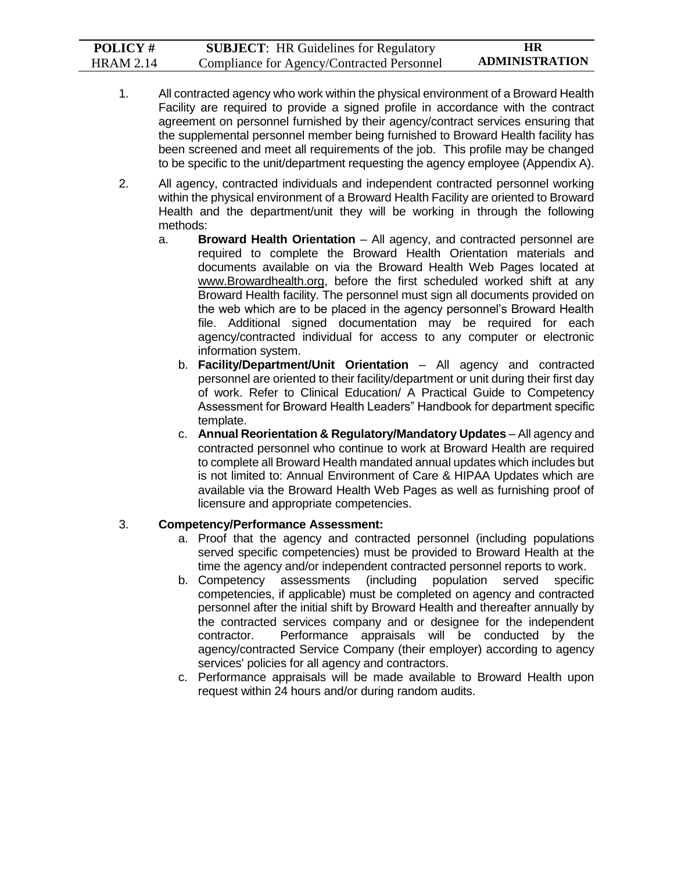| <b>POLICY#</b>   | <b>SUBJECT:</b> HR Guidelines for Regulatory | HR                    |
|------------------|----------------------------------------------|-----------------------|
| <b>HRAM 2.14</b> | Compliance for Agency/Contracted Personnel   | <b>ADMINISTRATION</b> |

- 1. All contracted agency who work within the physical environment of a Broward Health Facility are required to provide a signed profile in accordance with the contract agreement on personnel furnished by their agency/contract services ensuring that the supplemental personnel member being furnished to Broward Health facility has been screened and meet all requirements of the job. This profile may be changed to be specific to the unit/department requesting the agency employee (Appendix A).
- 2. All agency, contracted individuals and independent contracted personnel working within the physical environment of a Broward Health Facility are oriented to Broward Health and the department/unit they will be working in through the following methods:
	- a. **Broward Health Orientation** All agency, and contracted personnel are required to complete the Broward Health Orientation materials and documents available on via the Broward Health Web Pages located at www.Browardhealth.org, before the first scheduled worked shift at any Broward Health facility. The personnel must sign all documents provided on the web which are to be placed in the agency personnel's Broward Health file. Additional signed documentation may be required for each agency/contracted individual for access to any computer or electronic information system.
		- b. **Facility/Department/Unit Orientation** All agency and contracted personnel are oriented to their facility/department or unit during their first day of work. Refer to Clinical Education/ A Practical Guide to Competency Assessment for Broward Health Leaders" Handbook for department specific template.
		- c. **Annual Reorientation & Regulatory/Mandatory Updates** All agency and contracted personnel who continue to work at Broward Health are required to complete all Broward Health mandated annual updates which includes but is not limited to: Annual Environment of Care & HIPAA Updates which are available via the Broward Health Web Pages as well as furnishing proof of licensure and appropriate competencies.

#### 3. **Competency/Performance Assessment:**

- a. Proof that the agency and contracted personnel (including populations served specific competencies) must be provided to Broward Health at the time the agency and/or independent contracted personnel reports to work.
- b. Competency assessments (including population served specific competencies, if applicable) must be completed on agency and contracted personnel after the initial shift by Broward Health and thereafter annually by the contracted services company and or designee for the independent contractor. Performance appraisals will be conducted by the agency/contracted Service Company (their employer) according to agency services' policies for all agency and contractors.
- c. Performance appraisals will be made available to Broward Health upon request within 24 hours and/or during random audits.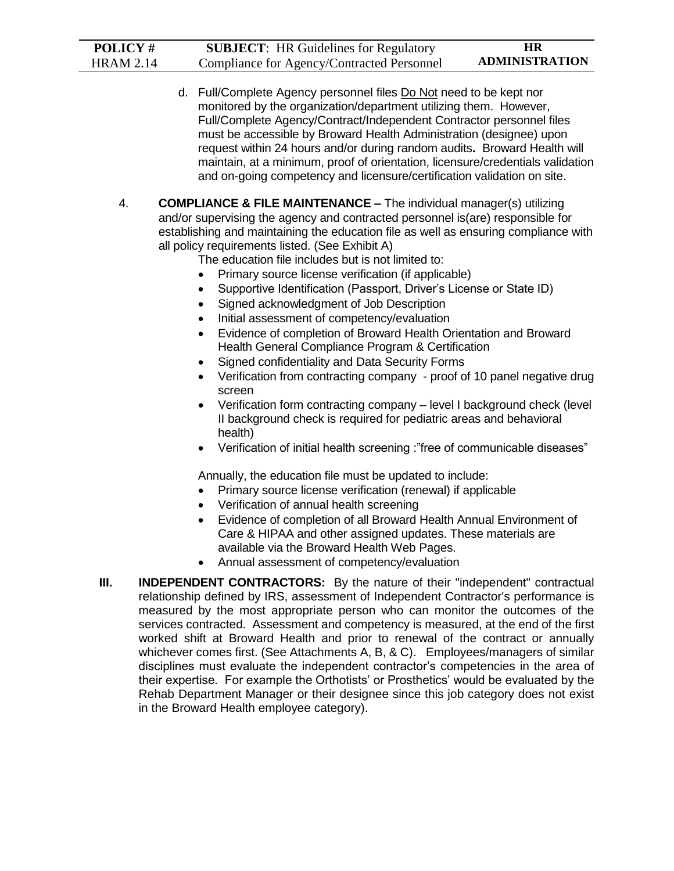| POLICY#          | <b>SUBJECT:</b> HR Guidelines for Regulatory                                                                                                                                                                                                                                                                                                                                                                                                                                                                                                                                                                                                                                                                                                                                                                                                                                                                                                                                                                                                                                                                                                                                    | <b>HR</b>             |
|------------------|---------------------------------------------------------------------------------------------------------------------------------------------------------------------------------------------------------------------------------------------------------------------------------------------------------------------------------------------------------------------------------------------------------------------------------------------------------------------------------------------------------------------------------------------------------------------------------------------------------------------------------------------------------------------------------------------------------------------------------------------------------------------------------------------------------------------------------------------------------------------------------------------------------------------------------------------------------------------------------------------------------------------------------------------------------------------------------------------------------------------------------------------------------------------------------|-----------------------|
| <b>HRAM 2.14</b> | Compliance for Agency/Contracted Personnel                                                                                                                                                                                                                                                                                                                                                                                                                                                                                                                                                                                                                                                                                                                                                                                                                                                                                                                                                                                                                                                                                                                                      | <b>ADMINISTRATION</b> |
|                  | d. Full/Complete Agency personnel files Do Not need to be kept nor<br>monitored by the organization/department utilizing them. However,<br>Full/Complete Agency/Contract/Independent Contractor personnel files<br>must be accessible by Broward Health Administration (designee) upon<br>request within 24 hours and/or during random audits. Broward Health will<br>maintain, at a minimum, proof of orientation, licensure/credentials validation<br>and on-going competency and licensure/certification validation on site.                                                                                                                                                                                                                                                                                                                                                                                                                                                                                                                                                                                                                                                 |                       |
| 4.               | <b>COMPLIANCE &amp; FILE MAINTENANCE - The individual manager(s) utilizing</b><br>and/or supervising the agency and contracted personnel is(are) responsible for<br>establishing and maintaining the education file as well as ensuring compliance with<br>all policy requirements listed. (See Exhibit A)<br>The education file includes but is not limited to:<br>Primary source license verification (if applicable)<br>$\bullet$<br>Supportive Identification (Passport, Driver's License or State ID)<br>Signed acknowledgment of Job Description<br>$\bullet$<br>Initial assessment of competency/evaluation<br>$\bullet$<br>Evidence of completion of Broward Health Orientation and Broward<br>$\bullet$<br>Health General Compliance Program & Certification<br>Signed confidentiality and Data Security Forms<br>Verification from contracting company - proof of 10 panel negative drug<br>$\bullet$<br>screen<br>Verification form contracting company - level I background check (level<br>$\bullet$<br>II background check is required for pediatric areas and behavioral<br>health)<br>Verification of initial health screening :"free of communicable diseases" |                       |
|                  | Annually, the education file must be updated to include:<br>Primary source license verification (renewal) if applicable<br>Verification of annual health screening<br>$\bullet$<br>Evidence of completion of all Broward Health Annual Environment of<br>$\bullet$<br>Care & HIPAA and other assigned updates. These materials are<br>available via the Broward Health Web Pages.<br>Annual assessment of competency/evaluation<br>$\bullet$                                                                                                                                                                                                                                                                                                                                                                                                                                                                                                                                                                                                                                                                                                                                    |                       |
| Ш.               | <b>INDEPENDENT CONTRACTORS:</b> By the nature of their "independent" contractual<br>relationship defined by IRS, assessment of Independent Contractor's performance is<br>measured by the most appropriate person who can monitor the outcomes of the<br>services contracted. Assessment and competency is measured, at the end of the first<br>worked shift at Broward Health and prior to renewal of the contract or annually<br>whichever comes first. (See Attachments A, B, & C). Employees/managers of similar<br>disciplines must evaluate the independent contractor's competencies in the area of<br>their expertise. For example the Orthotists' or Prosthetics' would be evaluated by the<br>Rehab Department Manager or their designee since this job category does not exist<br>in the Broward Health employee category).                                                                                                                                                                                                                                                                                                                                          |                       |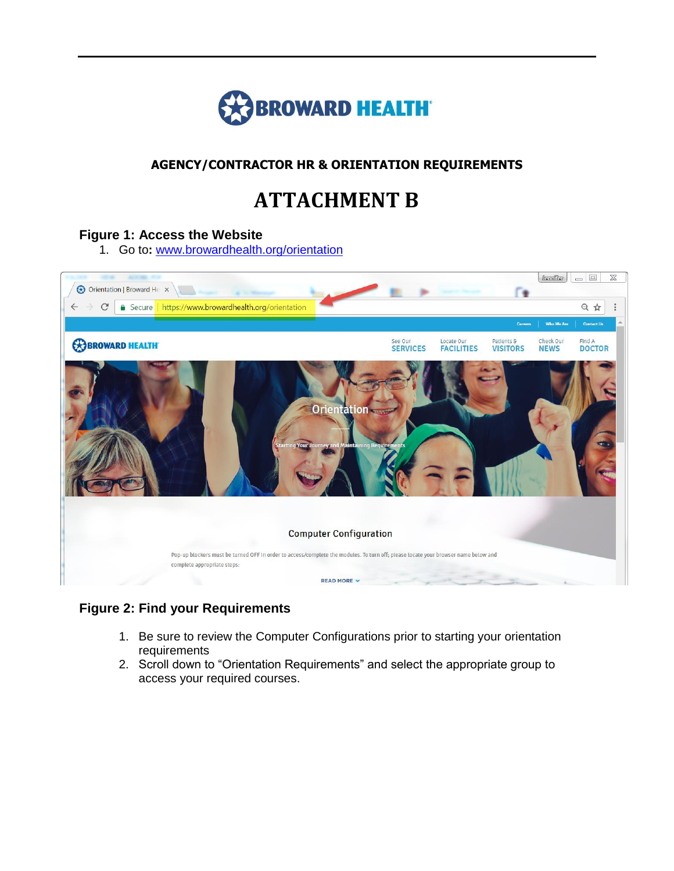

## **AGENCY/CONTRACTOR HR & ORIENTATION REQUIREMENTS**

# **ATTACHMENT B**

#### **Figure 1: Access the Website**

1. Go to**:** [www.browardhealth.org/orientation](http://www.browardhealth.org/orientation)



### **Figure 2: Find your Requirements**

- 1. Be sure to review the Computer Configurations prior to starting your orientation requirements
- 2. Scroll down to "Orientation Requirements" and select the appropriate group to access your required courses.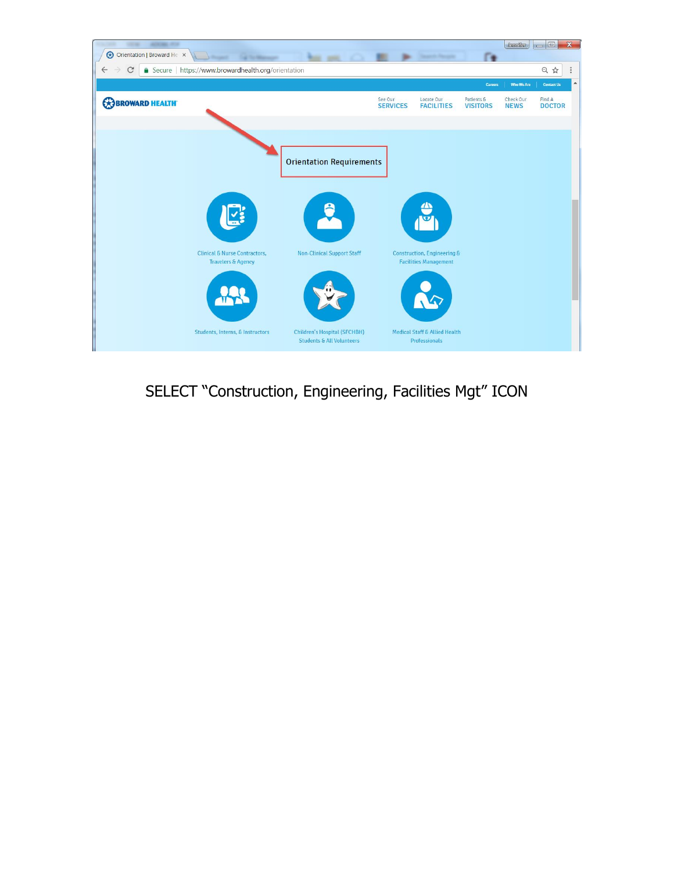

SELECT "Construction, Engineering, Facilities Mgt" ICON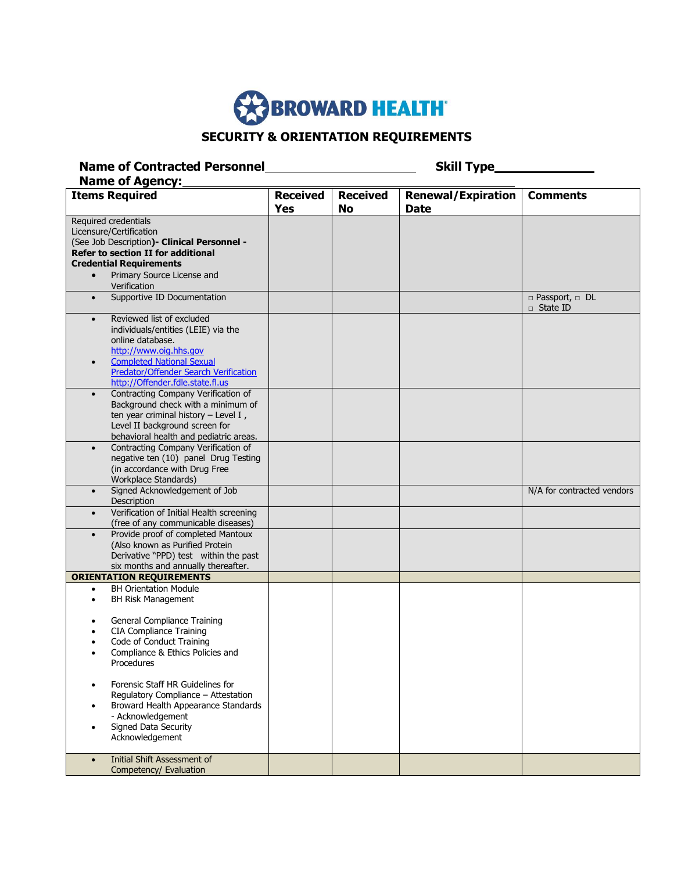

# **SECURITY & ORIENTATION REQUIREMENTS**

| <b>Name of Contracted Personnel</b><br><b>Skill Type_</b><br><b>Name of Agency:</b>                                                                                                                                                                 |                               |                       |                                          |                                               |
|-----------------------------------------------------------------------------------------------------------------------------------------------------------------------------------------------------------------------------------------------------|-------------------------------|-----------------------|------------------------------------------|-----------------------------------------------|
| <b>Items Required</b>                                                                                                                                                                                                                               | <b>Received</b><br><b>Yes</b> | <b>Received</b><br>No | <b>Renewal/Expiration</b><br><b>Date</b> | <b>Comments</b>                               |
| Required credentials                                                                                                                                                                                                                                |                               |                       |                                          |                                               |
| Licensure/Certification                                                                                                                                                                                                                             |                               |                       |                                          |                                               |
| (See Job Description) - Clinical Personnel -                                                                                                                                                                                                        |                               |                       |                                          |                                               |
| <b>Refer to section II for additional</b>                                                                                                                                                                                                           |                               |                       |                                          |                                               |
| <b>Credential Requirements</b>                                                                                                                                                                                                                      |                               |                       |                                          |                                               |
| Primary Source License and<br>$\bullet$<br>Verification                                                                                                                                                                                             |                               |                       |                                          |                                               |
| Supportive ID Documentation<br>$\bullet$                                                                                                                                                                                                            |                               |                       |                                          | $\Box$ Passport, $\Box$ DL<br>$\Box$ State ID |
| Reviewed list of excluded<br>$\bullet$<br>individuals/entities (LEIE) via the<br>online database.<br>http://www.oig.hhs.gov<br><b>Completed National Sexual</b><br><b>Predator/Offender Search Verification</b><br>http://Offender.fdle.state.fl.us |                               |                       |                                          |                                               |
| Contracting Company Verification of<br>Background check with a minimum of<br>ten year criminal history - Level I,<br>Level II background screen for<br>behavioral health and pediatric areas.<br>Contracting Company Verification of<br>$\bullet$   |                               |                       |                                          |                                               |
| negative ten (10) panel Drug Testing<br>(in accordance with Drug Free<br>Workplace Standards)                                                                                                                                                       |                               |                       |                                          |                                               |
| Signed Acknowledgement of Job<br>$\bullet$<br>Description                                                                                                                                                                                           |                               |                       |                                          | N/A for contracted vendors                    |
| Verification of Initial Health screening<br>(free of any communicable diseases)                                                                                                                                                                     |                               |                       |                                          |                                               |
| Provide proof of completed Mantoux<br>$\bullet$<br>(Also known as Purified Protein<br>Derivative "PPD) test within the past<br>six months and annually thereafter.                                                                                  |                               |                       |                                          |                                               |
| <b>ORIENTATION REQUIREMENTS</b>                                                                                                                                                                                                                     |                               |                       |                                          |                                               |
| <b>BH Orientation Module</b><br>$\bullet$<br>BH Risk Management<br>$\bullet$                                                                                                                                                                        |                               |                       |                                          |                                               |
| General Compliance Training<br><b>CIA Compliance Training</b><br>Code of Conduct Training<br>$\bullet$<br>Compliance & Ethics Policies and<br>Procedures                                                                                            |                               |                       |                                          |                                               |
| Forensic Staff HR Guidelines for<br>Regulatory Compliance - Attestation<br>Broward Health Appearance Standards<br>- Acknowledgement<br>Signed Data Security<br>Acknowledgement                                                                      |                               |                       |                                          |                                               |
| Initial Shift Assessment of<br>$\bullet$<br>Competency/ Evaluation                                                                                                                                                                                  |                               |                       |                                          |                                               |